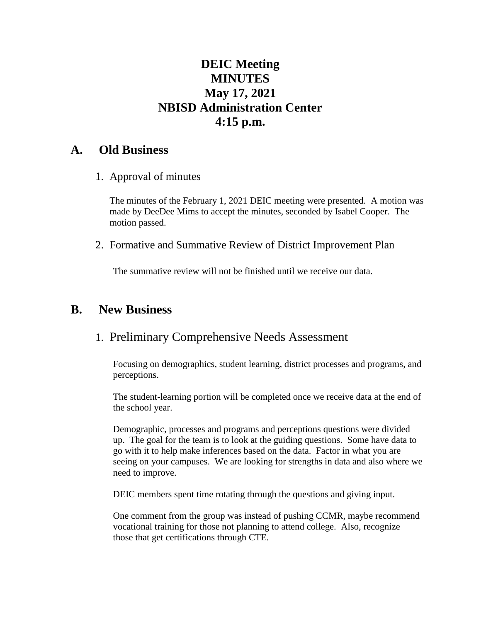# **DEIC Meeting MINUTES May 17, 2021 NBISD Administration Center 4:15 p.m.**

### **A. Old Business**

1. Approval of minutes

The minutes of the February 1, 2021 DEIC meeting were presented. A motion was made by DeeDee Mims to accept the minutes, seconded by Isabel Cooper. The motion passed.

2. Formative and Summative Review of District Improvement Plan

The summative review will not be finished until we receive our data.

## **B. New Business**

### 1. Preliminary Comprehensive Needs Assessment

Focusing on demographics, student learning, district processes and programs, and perceptions.

The student-learning portion will be completed once we receive data at the end of the school year.

Demographic, processes and programs and perceptions questions were divided up. The goal for the team is to look at the guiding questions. Some have data to go with it to help make inferences based on the data. Factor in what you are seeing on your campuses. We are looking for strengths in data and also where we need to improve.

DEIC members spent time rotating through the questions and giving input.

One comment from the group was instead of pushing CCMR, maybe recommend vocational training for those not planning to attend college. Also, recognize those that get certifications through CTE.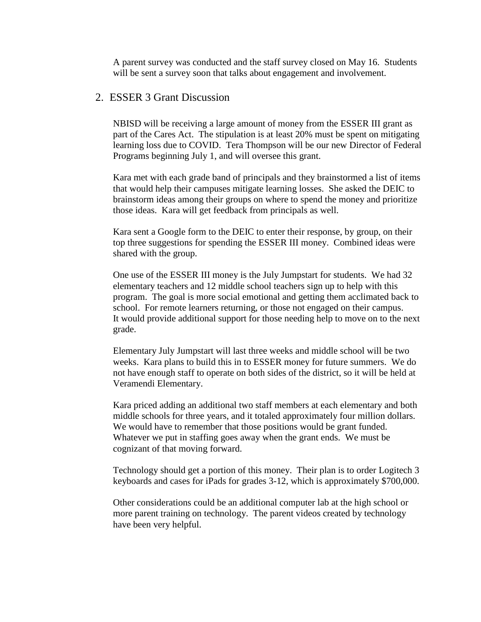A parent survey was conducted and the staff survey closed on May 16. Students will be sent a survey soon that talks about engagement and involvement.

#### 2. ESSER 3 Grant Discussion

NBISD will be receiving a large amount of money from the ESSER III grant as part of the Cares Act. The stipulation is at least 20% must be spent on mitigating learning loss due to COVID. Tera Thompson will be our new Director of Federal Programs beginning July 1, and will oversee this grant.

Kara met with each grade band of principals and they brainstormed a list of items that would help their campuses mitigate learning losses. She asked the DEIC to brainstorm ideas among their groups on where to spend the money and prioritize those ideas. Kara will get feedback from principals as well.

Kara sent a Google form to the DEIC to enter their response, by group, on their top three suggestions for spending the ESSER III money. Combined ideas were shared with the group.

One use of the ESSER III money is the July Jumpstart for students. We had 32 elementary teachers and 12 middle school teachers sign up to help with this program. The goal is more social emotional and getting them acclimated back to school. For remote learners returning, or those not engaged on their campus. It would provide additional support for those needing help to move on to the next grade.

Elementary July Jumpstart will last three weeks and middle school will be two weeks. Kara plans to build this in to ESSER money for future summers. We do not have enough staff to operate on both sides of the district, so it will be held at Veramendi Elementary.

Kara priced adding an additional two staff members at each elementary and both middle schools for three years, and it totaled approximately four million dollars. We would have to remember that those positions would be grant funded. Whatever we put in staffing goes away when the grant ends. We must be cognizant of that moving forward.

Technology should get a portion of this money. Their plan is to order Logitech 3 keyboards and cases for iPads for grades 3-12, which is approximately \$700,000.

Other considerations could be an additional computer lab at the high school or more parent training on technology. The parent videos created by technology have been very helpful.